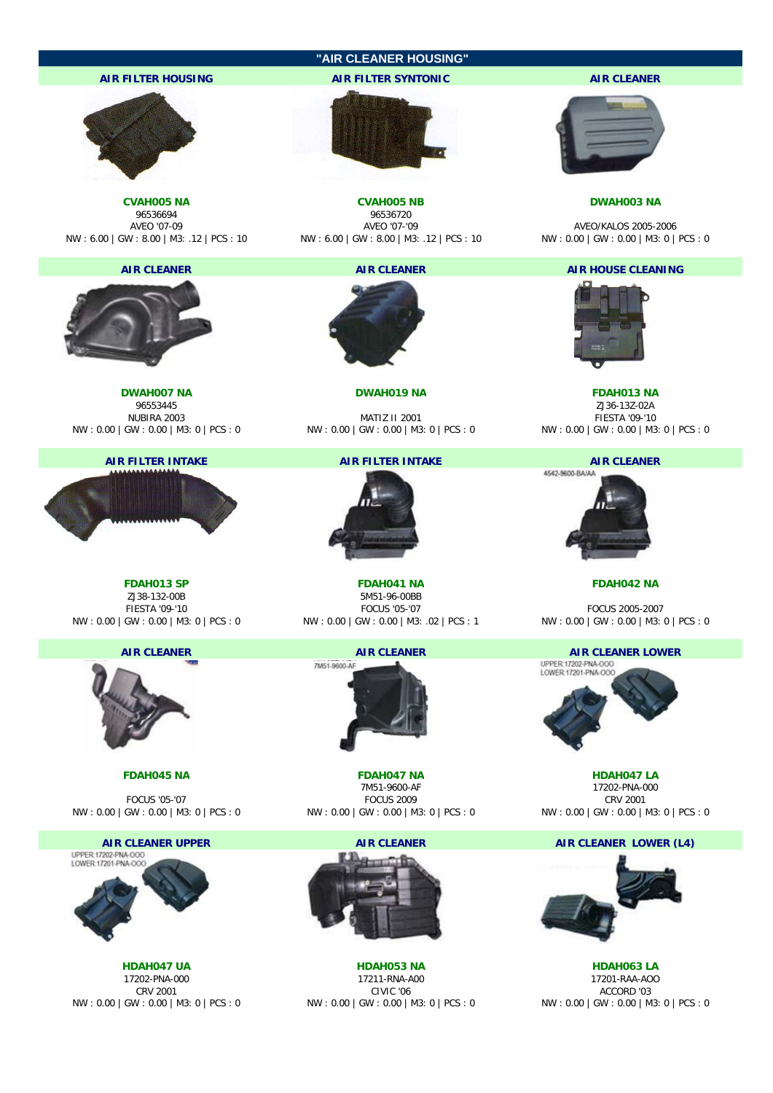

**AIR FILTER INTAKE AIR FILTER INTAKE AIR CLEANER**



ZJ38-132-00B 5M51-96-00BB NW : 0.00 | GW : 0.00 | M3: 0 | PCS : 0 NW : 0.00 | GW : 0.00 | M3: .02 | PCS : 1 NW : 0.00 | GW : 0.00 | M3: 0 | PCS : 0









**FDAH013 SP FDAH041 NA FDAH042 NA**



**FDAH045 NA FDAH047 NA HDAH047 LA** FOCUS '05-'07 FOCUS 2009 CRV 2001 NW : 0.00 | GW : 0.00 | M3: 0 | PCS : 0 NW : 0.00 | GW : 0.00 | M3: 0 | PCS : 0 NW : 0.00 | GW : 0.00 | M3: 0 | PCS : 0



**HDAH047 UA HDAH053 NA HDAH063 LA** 17202-PNA-000 17211-RNA-A00 17201-RAA-AOO CRV 2001 CIVIC '06 ACCORD '03 NW : 0.00 | GW : 0.00 | M3: 0 | PCS : 0 NW : 0.00 | GW : 0.00 | M3: 0 | PCS : 0 NW : 0.00 | GW : 0.00 | M3: 0 | PCS : 0

# 96553445 ZJ36-13Z-02A

NUBIRA 2003 MATIZ II 2001 FIESTA '09-'10 NW : 0.00 | GW : 0.00 | M3: 0 | PCS : 0 NW : 0.00 | GW : 0.00 | M3: 0 | PCS : 0 NW : 0.00 | GW : 0.00 | M3: 0 | PCS : 0

4542-9600-BA/AA



FOCUS 2005-2007



17202-PNA-000

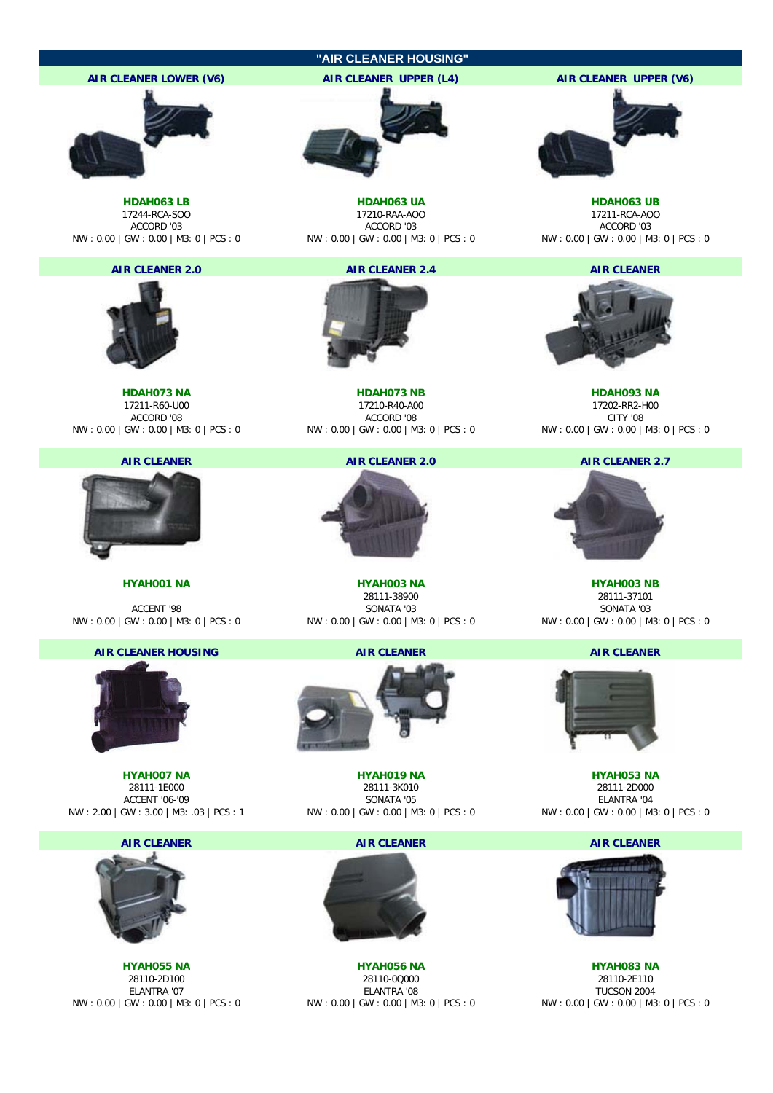



NW : 2.00 | GW : 3.00 | M3: 0 3 | PCS : 1 NW : 0.00 | GW : 0.00 | M3: 0 | PCS : 0 NW : 0.00 | GW : 0.00 | M3: 0 | PCS : 0

**HYAH007 NA HYAH019 NA HYAH053 NA** 28111-3K010 ACCENT '06-'09 SONATA '05 ELANTRA '04

**AIR CLEANER AIR CLEANER AIR CLEANER AIR CLEANER** 



**HYAH055 NA HYAH056 NA HYAH083 NA** 28110-2D100 28110-0Q000 28110-2E110 NW : 0.00 | GW : 0.00 | M3: 0 | PCS : 0 NW : 0.00 | GW : 0.00 | M3: 0 | PCS : 0 NW : 0.00 | GW : 0.00 | M3: 0 | PCS : 0





**TUCSON 2004**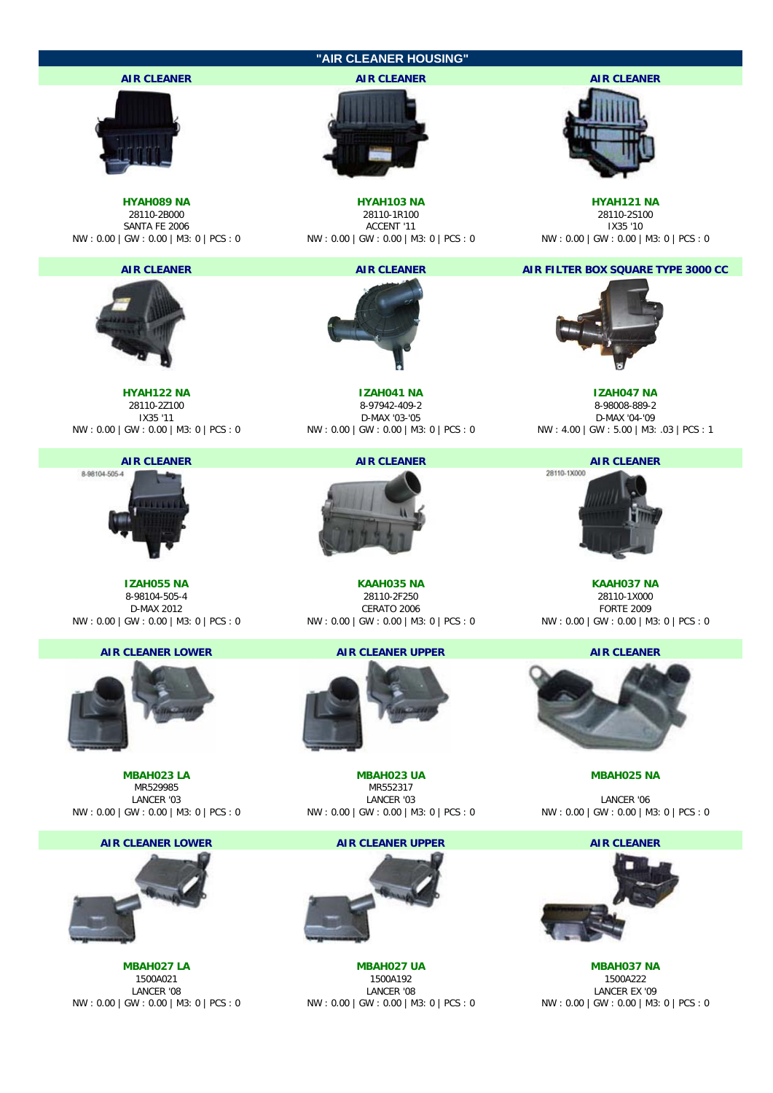



**MBAH027 LA MBAH027 UA MBAH037 NA** 1500A021 1500A192 1500A222 LANCER '08 LANCER '08 LANCER EX '09 NW : 0.00 | GW : 0.00 | M3: 0 | PCS : 0 NW : 0.00 | GW : 0.00 | M3: 0 | PCS : 0 NW : 0.00 | GW : 0.00 | M3: 0 | PCS : 0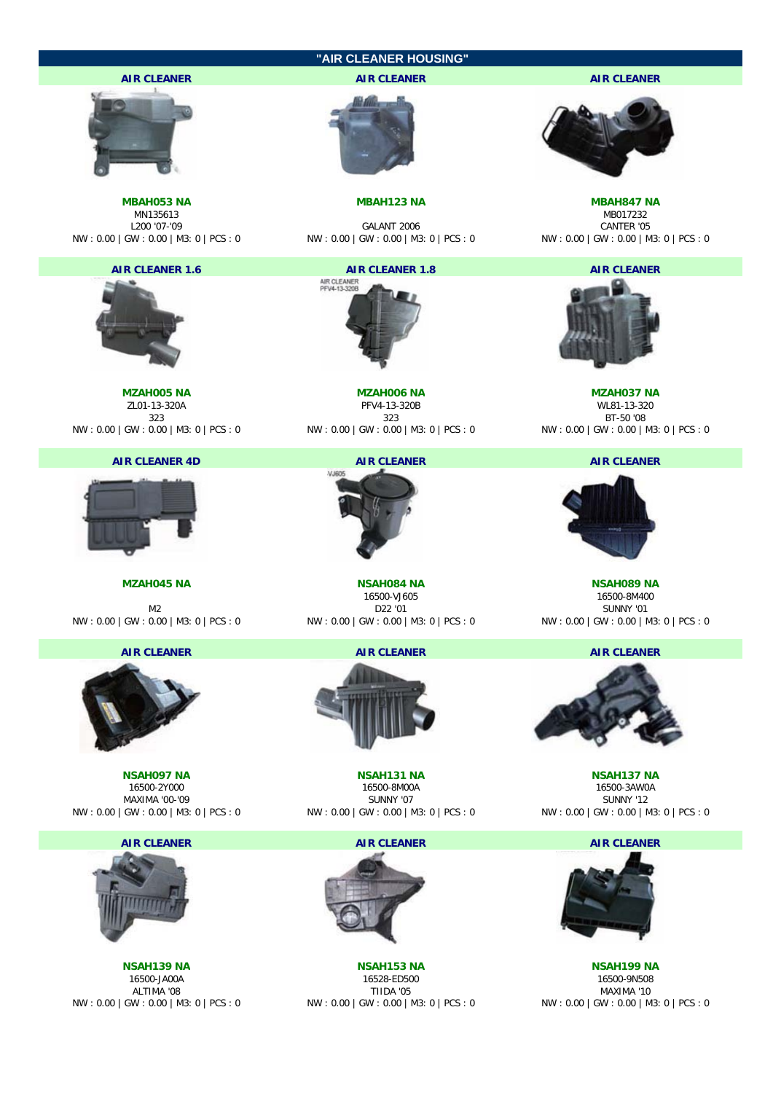|                                               | "AIR CLEANER HOUSING"                                                                                               |                                                                                     |
|-----------------------------------------------|---------------------------------------------------------------------------------------------------------------------|-------------------------------------------------------------------------------------|
| <b>AIR CLEANER</b>                            | <b>AIR CLEANER</b>                                                                                                  | <b>AIR CLEANER</b>                                                                  |
|                                               |                                                                                                                     |                                                                                     |
| <b>MBAH053 NA</b><br>MN135613<br>L200 '07-'09 | <b>MBAH123 NA</b><br>GALANT 2006<br>NW : 0.00   GW : 0.00   M3: 0   PCS : 0 NW : 0.00   GW : 0.00   M3: 0   PCS : 0 | <b>MBAH847 NA</b><br>MB017232<br>CANTER '05<br>NW: 0.00   GW: 0.00   M3: 0   PCS: 0 |
| <b>AIR CLEANER 1.6</b>                        | <b>AIR CLEANER 1.8</b>                                                                                              | <b>AIR CLEANER</b>                                                                  |
|                                               | AIR CLEANER<br>PFV4-13-320B                                                                                         |                                                                                     |
| <b>MZAH005 NA</b><br>ZL01-13-320A             | <b>MZAH006 NA</b><br>PFV4-13-320B                                                                                   | <b>MZAH037 NA</b><br>WL81-13-320                                                    |
| 323                                           | 323                                                                                                                 | BT-50 '08                                                                           |
|                                               | NW : 0.00   GW : 0.00   M3: 0   PCS : 0 WW : 0.00   GW : 0.00   M3: 0   PCS : 0                                     | NW: 0.00   GW: 0.00   M3: 0   PCS: 0                                                |
| <b>AIR CLEANER 4D</b>                         | <b>AIR CLEANER</b>                                                                                                  | <b>AIR CLEANER</b>                                                                  |
|                                               | VJ605                                                                                                               |                                                                                     |
| <b>MZAH045 NA</b>                             | <b>NSAH084 NA</b>                                                                                                   | <b>NSAH089 NA</b>                                                                   |
| M <sub>2</sub>                                | 16500-VJ605<br>D22 '01                                                                                              | 16500-8M400<br>SUNNY '01                                                            |
| NW: 0.00   GW: 0.00   M3: 0   PCS: 0          | NW:0.00   GW:0.00   M3: 0   PCS:0       NW:0.00   GW:0.00   M3: 0   PCS:0                                           |                                                                                     |
| <b>AIR CLEANER</b>                            | <b>AIR CLEANER</b>                                                                                                  | <b>AIR CLEANER</b>                                                                  |
|                                               |                                                                                                                     |                                                                                     |
| <b>NSAH097 NA</b>                             | <b>NSAH131 NA</b>                                                                                                   | <b>NSAH137 NA</b>                                                                   |
| 16500-2Y000<br>MAXIMA '00-'09                 | 16500-8M00A<br>SUNNY '07                                                                                            | 16500-3AW0A<br><b>SUNNY '12</b>                                                     |
| NW: 0.00   GW: 0.00   M3: 0   PCS: 0          | NW: 0.00   GW: 0.00   M3: 0   PCS: 0                                                                                | NW: 0.00   GW: 0.00   M3: 0   PCS: 0                                                |
| <b>AIR CLEANER</b>                            | <b>AIR CLEANER</b>                                                                                                  | <b>AIR CLEANER</b>                                                                  |
|                                               |                                                                                                                     |                                                                                     |

NSAH139 NA<br>
NSAH139 NA<br>
16500-JA00A<br>
1650-JA00A<br>
201 ALTIMA '08 MAXIMA '10<br>
NW : 0.00 | GW : 0.00 | M3: 0 | PCS : 0 MW : 0.00 | GW : 0.00 | GW : 0.00 | GW : 0.00 | GW : 0.00 | GW : 0.00 | GW : 0.00 | GW : 0.00 | GW : 0.00

**NSAH139 NA NSAH153 NA NSAH199 NA** 16500-JA00A 16528-ED500 16500-9N508 NW : 0.00 | GW : 0.00 | M3: 0 | PCS : 0 NW : 0.00 | GW : 0.00 | M3: 0 | PCS : 0 NW : 0.00 | GW : 0.00 | M3: 0 | PCS : 0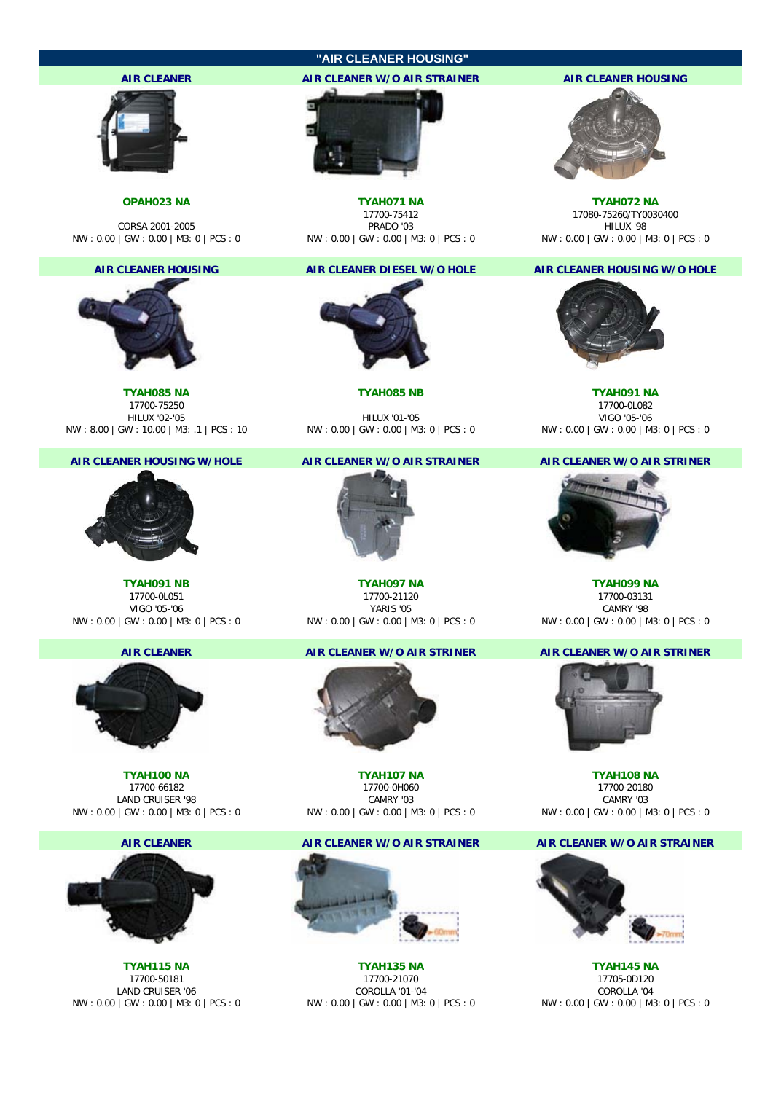### **"AIR CLEANER HOUSING"**





**TYAH085 NA TYAH085 NB TYAH091 NA** 17700-75250 17700-0L082 NW : 8.00 | GW : 10.00 | M3: .1 | PCS : 10 NW : 0.00 | GW : 0.00 | M3: 0 | PCS : 0 NW : 0.00 | GW : 0.00 | M3: 0 | PCS : 0



NW : 0.00 | GW : 0.00 | M3: 0 | PCS : 0 NW : 0.00 | GW : 0.00 | M3: 0 | PCS : 0 NW : 0.00 | GW : 0.00 | M3: 0 | PCS : 0



NW : 0.00 | GW : 0.00 | M3: 0 | PCS : 0 NW : 0.00 | GW : 0.00 | M3: 0 | PCS : 0 NW : 0.00 | GW : 0.00 | M3: 0 | PCS : 0



LAND CRUISER '06



**TYAH100 NA TYAH107 NA TYAH108 NA** 17700-0H060 LAND CRUISER '98 CAMRY '03 CAMRY '03

### **AIR CLEANER AIR CLEANER W/O AIR STRAINER AIR CLEANER W/O AIR STRAINER**



**TYAH115 NA TYAH135 NA TYAH145 NA** 17700-50181 17700-21070 17705-0D120 NW : 0.00 | GW : 0.00 | M3: 0 | PCS : 0 NW : 0.00 | GW : 0.00 | M3: 0 | PCS : 0 NW : 0.00 | GW : 0.00 | M3: 0 | PCS : 0

# **AIR CLEANER AIR CLEANER W/O AIR STRAINER AIR CLEANER HOUSING**



**OPAH023 NA TYAH071 NA TYAH072 NA** 17700-75412 17080-75260/TY0030400<br>PRADO '03 111000 112000 112000 112000 112000 112000 112000 112000 112000 112000 112000 112000 112000 112000 1 CORSA 2001-2005<br>NW:0.00 | GW:0.00 | M3:0 | PCS : 0 NW:0.00 | GW:0.00 | M3:0 | PCS : 0 NW:0.00 | GW:0.00 | GW:0.00 | M3:0 | PCS

### **AIR CLEANER HOUSING AIR CLEANER DIESEL W/O HOLE AIR CLEANER HOUSING W/O HOLE**





### **AIR CLEANER AIR CLEANER W/O AIR STRINER AIR CLEANER W/O AIR STRINER**







NW : 0.00 | GW : 0.00 | M3: 0 | PCS : 0 NW : 0.00 | GW : 0.00 | M3: 0 | PCS : 0 NW : 0.00 | GW : 0.00 | M3: 0 | PCS : 0

HILUX '02-'05 HILUX '01-'05 VIGO '05-'06

### **AIR CLEANER HOUSING W/HOLE AIR CLEANER W/O AIR STRAINER AIR CLEANER W/O AIR STRINER**



**TYAH091 NB TYAH097 NA TYAH099 NA** 17700-0L051 17700-21120 17700-03131 VIGO '05-'06 YARIS '05 CAMRY '98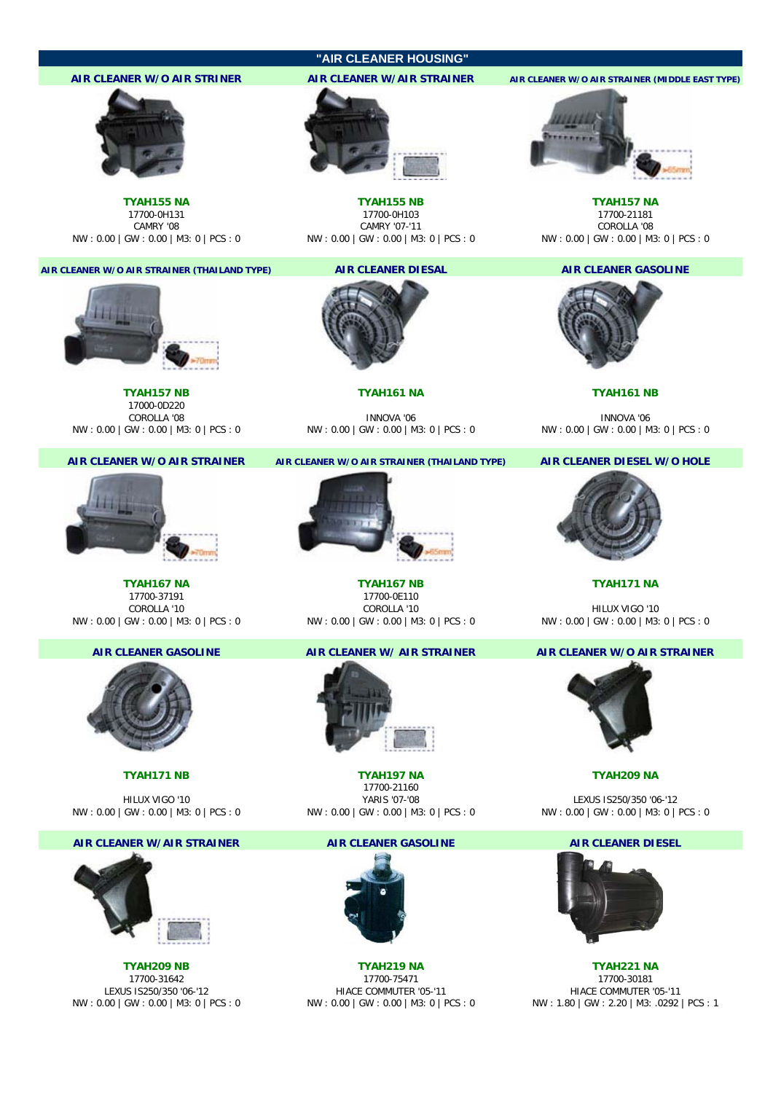# **"AIR CLEANER HOUSING"**

## **AIR CLEANER W/O AIR STRINER AIR CLEANER W/AIR STRAINER AIR CLEANER W/O AIR STRAINER (MIDDLE EAST TYPE)**



CAMRY '08 CAMRY '07-'11 COROLLA '08 CAMRY '07-'11<br>NW : 0.00 | GW : 0.00 | GW : 0.00 | GW : 0.00 | GW : 0.00 | M3: 0 | PCS : 0 COROLLA '08 EXECT'S : 0

### **AIR CLEANER W/O AIR STRAINER (THAILAND TYPE) AIR CLEANER DIESAL AIR CLEANER GASOLINE**



**TYAH157 NB TYAH161 NA TYAH161 NB** 17000-0D220



17700-37191 17700-0E110 NW : 0.00 | GW : 0.00 | M3: 0 | PCS : 0 NW : 0.00 | GW : 0.00 | M3: 0 | PCS : 0 NW : 0.00 | GW : 0.00 | M3: 0 | PCS : 0



### **AIR CLEANER W/AIR STRAINER AIR CLEANER GASOLINE AIR CLEANER DIESEL**





NW : 0.00 | GW : 0.00 | M3: 0 | PCS : 0 NW : 0.00 | GW : 0.00 | M3: 0 | PCS : 0 NW : 0.00 | GW : 0.00 | M3: 0 | PCS : 0

COROLLA '08 INNOVA '06 INNOVA '06 NW : 0.00 | GW : 0.00 | M3: 0 | PCS : 0 NW : 0.00 | GW : 0.00 | M3: 0 | PCS : 0 NW : 0.00 | GW : 0.00 | M3: 0 | PCS : 0

### **AIR CLEANER W/O AIR STRAINER AIR CLEANER W/O AIR STRAINER (THAILAND TYPE) AIR CLEANER DIESEL W/O HOLE**



**TYAH167 NA TYAH167 NB TYAH171 NA**



**TYAH171 NB TYAH197 NA TYAH209 NA** 17700-21160 HILUX VIGO '10 YARIS '07-'08 LEXUS IS250/350 '06-'12



**TYAH209 NB TYAH219 NA TYAH221 NA** 17700-31642 17700-75471 17700-30181 LEXUS IS250/350 '06-'12 HIACE COMMUTER '05-'11 HIACE COMMUTER '05-'11





**TYAH155 NA TYAH155 NB TYAH157 NA** 17700-0H131 17700-0H103 17700-21181





COROLLA '10 HILUX VIGO '10<br>GW : 0.00 | M3: 0 | PCS : 0 NW : 0.00 | GW : 0.00 | M3: 0 | PCS : 0

### **AIR CLEANER GASOLINE AIR CLEANER W/ AIR STRAINER AIR CLEANER W/O AIR STRAINER**



NW : 0.00 | GW : 0.00 | M3: 0 | PCS : 0 NW : 0.00 | GW : 0.00 | M3: 0 | PCS : 0 NW : 0.00 | GW : 0.00 | M3: 0 | PCS : 0





NW : 0.00 | GW : 0.00 | M3: 0 | PCS : 0 NW : 0.00 | GW : 0.00 | M3: 0 | PCS : 0 NW : 1.80 | GW : 2.20 | M3: .0292 | PCS : 1